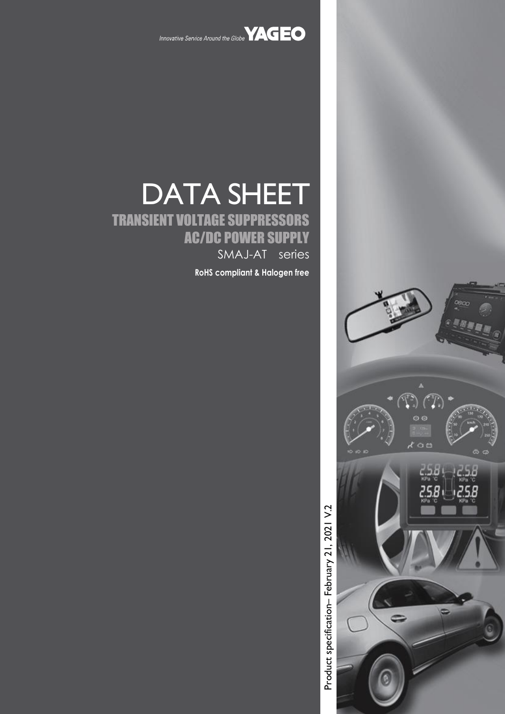

Innovative Service Around the Globe **YAGEO** 

# DATA SHEET TRANSIENT VOLTAGE SUPPRESSORS AC/DC POWER SUPPLY SMAJ-AT series

**RoHS compliant & Halogen free**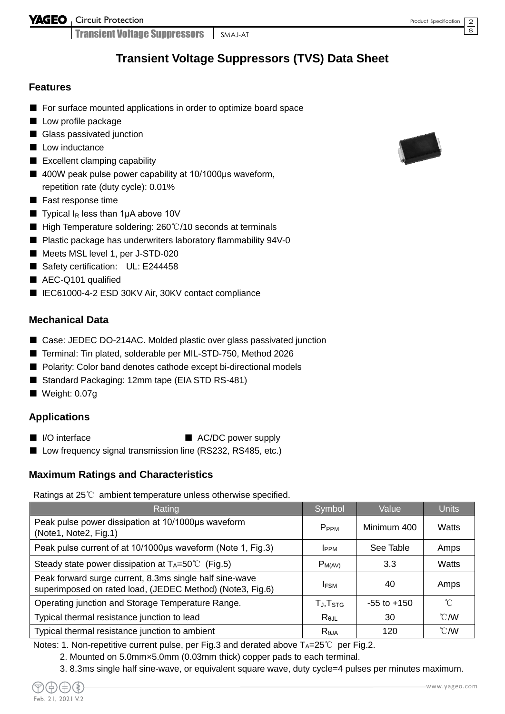Transient Voltage Suppressors SMAJ-AT

# **Transient Voltage Suppressors (TVS) Data Sheet**

### **Features**

- For surface mounted applications in order to optimize board space
- Low profile package
- Glass passivated junction
- Low inductance
- Excellent clamping capability
- 400W peak pulse power capability at 10/1000µs waveform, repetition rate (duty cycle): 0.01%
- Fast response time
- **Typical I<sub>R</sub>** less than 1µA above 10V
- High Temperature soldering: 260°C/10 seconds at terminals
- Plastic package has underwriters laboratory flammability 94V-0
- Meets MSL level 1, per J-STD-020
- Safety certification: UL: E244458
- AEC-Q101 qualified
- IEC61000-4-2 ESD 30KV Air, 30KV contact compliance

### **Mechanical Data**

- Case: JEDEC DO-214AC. Molded plastic over glass passivated junction
- Terminal: Tin plated, solderable per MIL-STD-750, Method 2026
- Polarity: Color band denotes cathode except bi-directional models
- Standard Packaging: 12mm tape (EIA STD RS-481)
- Weight: 0.07g

### **Applications**

- 
- I/O interface AC/DC power supply
- Low frequency signal transmission line (RS232, RS485, etc.)

### **Maximum Ratings and Characteristics**

Ratings at 25℃ ambient temperature unless otherwise specified.

| Rating                                                                                                               | Symbol               | Value           | <b>Units</b>   |
|----------------------------------------------------------------------------------------------------------------------|----------------------|-----------------|----------------|
| Peak pulse power dissipation at 10/1000µs waveform<br>(Note1, Note2, Fig.1)                                          | P <sub>PPM</sub>     | Minimum 400     | Watts          |
| Peak pulse current of at 10/1000µs waveform (Note 1, Fig.3)                                                          | <b>I</b> PPM         | See Table       | Amps           |
| Steady state power dissipation at $T_A = 50^{\circ}$ (Fig.5)                                                         | $P_{M(AV)}$          | 3.3             | Watts          |
| Peak forward surge current, 8.3ms single half sine-wave<br>superimposed on rated load, (JEDEC Method) (Note3, Fig.6) | <b>IFSM</b>          | 40              | Amps           |
| Operating junction and Storage Temperature Range.                                                                    | TJ, T <sub>STG</sub> | $-55$ to $+150$ | °C             |
| Typical thermal resistance junction to lead                                                                          | $R_{\theta$ JL       | 30              | $^{\circ}$ CMV |
| Typical thermal resistance junction to ambient                                                                       | Reja                 | 120             | $^{\circ}$ CMV |

Notes: 1. Non-repetitive current pulse, per Fig.3 and derated above  $T_A=25^{\circ}C$  per Fig.2.

- 2. Mounted on 5.0mm×5.0mm (0.03mm thick) copper pads to each terminal.
- 3. 8.3ms single half sine-wave, or equivalent square wave, duty cycle=4 pulses per minutes maximum.



2 8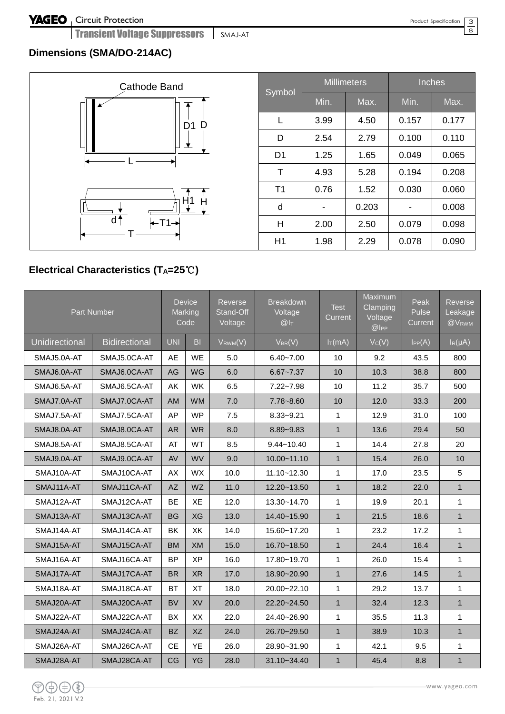Transient Voltage Suppressors | SMAJ-AT

## 3  $\overline{8}$

# **Dimensions (SMA/DO-214AC)**



| Symbol         |      | <b>Millimeters</b> | <b>Inches</b> |       |  |  |
|----------------|------|--------------------|---------------|-------|--|--|
|                | Min. | Max.               | Min.          | Max.  |  |  |
| L              | 3.99 | 4.50               | 0.157         | 0.177 |  |  |
| D              | 2.54 | 2.79               | 0.100         | 0.110 |  |  |
| D <sub>1</sub> | 1.25 | 1.65               | 0.049         | 0.065 |  |  |
| Τ              | 4.93 | 5.28               | 0.194         | 0.208 |  |  |
| T <sub>1</sub> | 0.76 | 1.52               | 0.030         | 0.060 |  |  |
| d              |      | 0.203              |               | 0.008 |  |  |
| н              | 2.00 | 2.50               | 0.079         | 0.098 |  |  |
| H1             | 1.98 | 2.29               | 0.078         | 0.090 |  |  |

# **Electrical Characteristics (TA=25**℃**)**

|                       | Part Number          |            | <b>Device</b><br>Marking<br>Code | Reverse<br>Stand-Off<br>Voltage | <b>Breakdown</b><br>Voltage<br>@I <sub>T</sub> | <b>Test</b><br>Current | Maximum<br>Clamping<br>Voltage<br>@ | Peak<br>Pulse<br>Current | Reverse<br>Leakage<br>@VRWM |
|-----------------------|----------------------|------------|----------------------------------|---------------------------------|------------------------------------------------|------------------------|-------------------------------------|--------------------------|-----------------------------|
| <b>Unidirectional</b> | <b>Bidirectional</b> | <b>UNI</b> | B <sub>1</sub>                   | $V_{RWM}(V)$                    | $V_{BR}(V)$                                    | $I_T(mA)$              | Vc(V)                               | IPP(A)                   | $I_R(\mu A)$                |
| SMAJ5.0A-AT           | SMAJ5.0CA-AT         | AE         | <b>WE</b>                        | 5.0                             | $6.40 - 7.00$                                  | 10                     | 9.2                                 | 43.5                     | 800                         |
| SMAJ6.0A-AT           | SMAJ6.0CA-AT         | AG         | WG                               | 6.0                             | $6.67 - 7.37$                                  | 10                     | 10.3                                | 38.8                     | 800                         |
| SMAJ6.5A-AT           | SMAJ6.5CA-AT         | AK         | WK                               | 6.5                             | $7.22 - 7.98$                                  | 10                     | 11.2                                | 35.7                     | 500                         |
| SMAJ7.0A-AT           | SMAJ7.0CA-AT         | AM         | <b>WM</b>                        | 7.0                             | 7.78~8.60                                      | 10                     | 12.0                                | 33.3                     | 200                         |
| SMAJ7.5A-AT           | SMAJ7.5CA-AT         | AP         | <b>WP</b>                        | 7.5                             | $8.33 - 9.21$                                  | $\mathbf{1}$           | 12.9                                | 31.0                     | 100                         |
| SMAJ8.0A-AT           | SMAJ8.0CA-AT         | <b>AR</b>  | <b>WR</b>                        | 8.0                             | 8.89~9.83                                      | $\mathbf{1}$           | 13.6                                | 29.4                     | 50                          |
| SMAJ8.5A-AT           | SMAJ8.5CA-AT         | AT         | WT                               | 8.5                             | $9.44 - 10.40$                                 | 1                      | 14.4                                | 27.8                     | 20                          |
| SMAJ9.0A-AT           | SMAJ9.0CA-AT         | AV         | WV                               | 9.0                             | $10.00 - 11.10$                                | $\mathbf{1}$           | 15.4                                | 26.0                     | 10                          |
| SMAJ10A-AT            | SMAJ10CA-AT          | AX         | WX                               | 10.0                            | $11.10 - 12.30$                                | $\mathbf{1}$           | 17.0                                | 23.5                     | $\sqrt{5}$                  |
| SMAJ11A-AT            | SMAJ11CA-AT          | <b>AZ</b>  | WZ                               | 11.0                            | 12.20~13.50                                    | $\mathbf{1}$           | 18.2                                | 22.0                     | $\mathbf{1}$                |
| SMAJ12A-AT            | SMAJ12CA-AT          | <b>BE</b>  | XE                               | 12.0                            | 13.30~14.70                                    | $\mathbf{1}$           | 19.9                                | 20.1                     | $\mathbf{1}$                |
| SMAJ13A-AT            | SMAJ13CA-AT          | <b>BG</b>  | <b>XG</b>                        | 13.0                            | 14.40~15.90                                    | $\mathbf{1}$           | 21.5                                | 18.6                     | $\mathbf{1}$                |
| SMAJ14A-AT            | SMAJ14CA-AT          | BK         | XK                               | 14.0                            | 15.60~17.20                                    | $\mathbf{1}$           | 23.2                                | 17.2                     | $\mathbf{1}$                |
| SMAJ15A-AT            | SMAJ15CA-AT          | <b>BM</b>  | <b>XM</b>                        | 15.0                            | 16.70~18.50                                    | $\mathbf{1}$           | 24.4                                | 16.4                     | $\mathbf{1}$                |
| SMAJ16A-AT            | SMAJ16CA-AT          | <b>BP</b>  | <b>XP</b>                        | 16.0                            | 17.80~19.70                                    | $\mathbf{1}$           | 26.0                                | 15.4                     | $\mathbf{1}$                |
| SMAJ17A-AT            | SMAJ17CA-AT          | <b>BR</b>  | <b>XR</b>                        | 17.0                            | 18.90~20.90                                    | $\mathbf{1}$           | 27.6                                | 14.5                     | $\mathbf{1}$                |
| SMAJ18A-AT            | SMAJ18CA-AT          | <b>BT</b>  | <b>XT</b>                        | 18.0                            | 20.00~22.10                                    | $\mathbf{1}$           | 29.2                                | 13.7                     | $\mathbf{1}$                |
| SMAJ20A-AT            | SMAJ20CA-AT          | <b>BV</b>  | XV                               | 20.0                            | 22.20~24.50                                    | $\mathbf{1}$           | 32.4                                | 12.3                     | $\mathbf{1}$                |
| SMAJ22A-AT            | SMAJ22CA-AT          | BX         | XX                               | 22.0                            | 24.40~26.90                                    | $\mathbf{1}$           | 35.5                                | 11.3                     | $\mathbf{1}$                |
| SMAJ24A-AT            | SMAJ24CA-AT          | <b>BZ</b>  | XZ                               | 24.0                            | 26.70~29.50                                    | $\mathbf{1}$           | 38.9                                | 10.3                     | $\mathbf{1}$                |
| SMAJ26A-AT            | SMAJ26CA-AT          | <b>CE</b>  | YE                               | 26.0                            | 28.90~31.90                                    | 1                      | 42.1                                | 9.5                      | $\mathbf{1}$                |
| SMAJ28A-AT            | SMAJ28CA-AT          | CG         | YG                               | 28.0                            | 31.10~34.40                                    | $\mathbf{1}$           | 45.4                                | 8.8                      | $\mathbf{1}$                |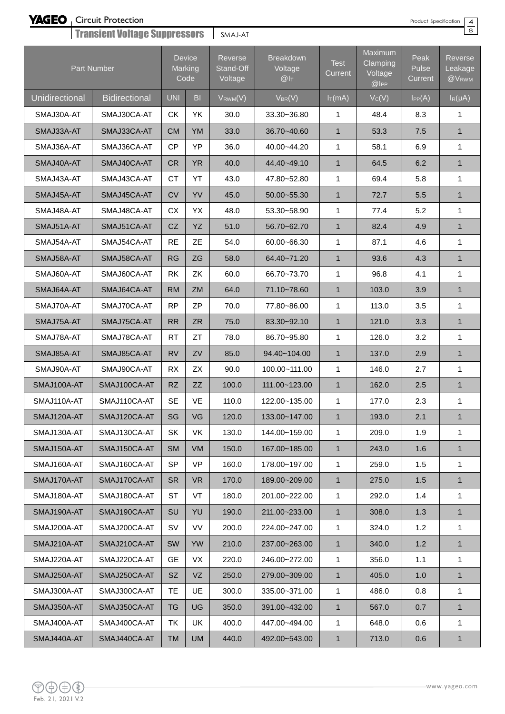Circuit Protection

Transient Voltage Suppressors SMAJ-AT

Product Specification

4  $\overline{8}$ 

| <b>Francion Landing and District Landing Company Landing Company</b> |                      |            |                                  |                                 |                                                |                        |                                                |                                 |                                                |
|----------------------------------------------------------------------|----------------------|------------|----------------------------------|---------------------------------|------------------------------------------------|------------------------|------------------------------------------------|---------------------------------|------------------------------------------------|
|                                                                      | Part Number          |            | <b>Device</b><br>Marking<br>Code | Reverse<br>Stand-Off<br>Voltage | <b>Breakdown</b><br>Voltage<br>@I <sub>T</sub> | <b>Test</b><br>Current | Maximum<br>Clamping<br>Voltage<br>$@$ $ $ $PP$ | Peak<br>Pulse<br><b>Current</b> | <b>Reverse</b><br>Leakage<br>@V <sub>RWM</sub> |
| Unidirectional                                                       | <b>Bidirectional</b> | <b>UNI</b> | B <sub>l</sub>                   | $V_{RWM}(V)$                    | $V_{BR}(V)$                                    | $I_T(mA)$              | $V_C(V)$                                       | $I_{PP}(A)$                     | $I_R(\mu A)$                                   |
| SMAJ30A-AT                                                           | SMAJ30CA-AT          | <b>CK</b>  | YK                               | 30.0                            | 33.30~36.80                                    | 1                      | 48.4                                           | 8.3                             | 1                                              |
| SMAJ33A-AT                                                           | SMAJ33CA-AT          | <b>CM</b>  | YM                               | 33.0                            | 36.70~40.60                                    | $\mathbf{1}$           | 53.3                                           | 7.5                             | $\mathbf{1}$                                   |
| SMAJ36A-AT                                                           | SMAJ36CA-AT          | CP         | YP                               | 36.0                            | 40.00~44.20                                    | 1                      | 58.1                                           | 6.9                             | $\mathbf{1}$                                   |
| SMAJ40A-AT                                                           | SMAJ40CA-AT          | <b>CR</b>  | <b>YR</b>                        | 40.0                            | 44.40~49.10                                    | $\mathbf{1}$           | 64.5                                           | 6.2                             | $\mathbf{1}$                                   |
| SMAJ43A-AT                                                           | SMAJ43CA-AT          | <b>CT</b>  | YT                               | 43.0                            | 47.80~52.80                                    | $\mathbf{1}$           | 69.4                                           | 5.8                             | $\mathbf{1}$                                   |
| SMAJ45A-AT                                                           | SMAJ45CA-AT          | <b>CV</b>  | YV                               | 45.0                            | 50.00~55.30                                    | $\mathbf{1}$           | 72.7                                           | 5.5                             | $\mathbf{1}$                                   |
| SMAJ48A-AT                                                           | SMAJ48CA-AT          | CX.        | YX                               | 48.0                            | 53.30~58.90                                    | 1                      | 77.4                                           | 5.2                             | 1                                              |
| SMAJ51A-AT                                                           | SMAJ51CA-AT          | CZ         | YZ                               | 51.0                            | 56.70~62.70                                    | $\mathbf{1}$           | 82.4                                           | 4.9                             | $\mathbf{1}$                                   |
| SMAJ54A-AT                                                           | SMAJ54CA-AT          | <b>RE</b>  | ZE                               | 54.0                            | 60.00~66.30                                    | 1                      | 87.1                                           | 4.6                             | 1                                              |
| SMAJ58A-AT                                                           | SMAJ58CA-AT          | RG         | ZG                               | 58.0                            | 64.40~71.20                                    | $\mathbf{1}$           | 93.6                                           | 4.3                             | $\mathbf{1}$                                   |
| SMAJ60A-AT                                                           | SMAJ60CA-AT          | <b>RK</b>  | ZK                               | 60.0                            | 66.70~73.70                                    | 1                      | 96.8                                           | 4.1                             | $\mathbf{1}$                                   |
| SMAJ64A-AT                                                           | SMAJ64CA-AT          | <b>RM</b>  | <b>ZM</b>                        | 64.0                            | 71.10~78.60                                    | $\mathbf{1}$           | 103.0                                          | 3.9                             | $\mathbf{1}$                                   |
| SMAJ70A-AT                                                           | SMAJ70CA-AT          | <b>RP</b>  | <b>ZP</b>                        | 70.0                            | 77.80~86.00                                    | 1                      | 113.0                                          | 3.5                             | 1                                              |
| SMAJ75A-AT                                                           | SMAJ75CA-AT          | <b>RR</b>  | <b>ZR</b>                        | 75.0                            | 83.30~92.10                                    | $\mathbf{1}$           | 121.0                                          | 3.3                             | $\mathbf{1}$                                   |
| SMAJ78A-AT                                                           | SMAJ78CA-AT          | <b>RT</b>  | ZT                               | 78.0                            | 86.70~95.80                                    | 1                      | 126.0                                          | 3.2                             | 1                                              |
| SMAJ85A-AT                                                           | SMAJ85CA-AT          | <b>RV</b>  | ZV                               | 85.0                            | 94.40~104.00                                   | $\mathbf{1}$           | 137.0                                          | 2.9                             | $\mathbf{1}$                                   |
| SMAJ90A-AT                                                           | SMAJ90CA-AT          | <b>RX</b>  | <b>ZX</b>                        | 90.0                            | 100.00~111.00                                  | 1                      | 146.0                                          | 2.7                             | $\mathbf{1}$                                   |
| SMAJ100A-AT                                                          | SMAJ100CA-AT         | <b>RZ</b>  | ZZ                               | 100.0                           | 111.00~123.00                                  | $\mathbf{1}$           | 162.0                                          | 2.5                             | $\mathbf{1}$                                   |
| SMAJ110A-AT                                                          | SMAJ110CA-AT         | <b>SE</b>  | VE                               | 110.0                           | 122.00~135.00                                  | 1                      | 177.0                                          | 2.3                             | 1                                              |
| SMAJ120A-AT                                                          | SMAJ120CA-AT         | SG         | VG                               | 120.0                           | 133.00~147.00                                  | $\mathbf{1}$           | 193.0                                          | 2.1                             | $\mathbf{1}$                                   |
| SMAJ130A-AT                                                          | SMAJ130CA-AT         | <b>SK</b>  | VK                               | 130.0                           | 144.00~159.00                                  | 1                      | 209.0                                          | 1.9                             | 1                                              |
| SMAJ150A-AT                                                          | SMAJ150CA-AT         | <b>SM</b>  | <b>VM</b>                        | 150.0                           | 167.00~185.00                                  | $\mathbf{1}$           | 243.0                                          | 1.6                             | $\mathbf{1}$                                   |
| SMAJ160A-AT                                                          | SMAJ160CA-AT         | <b>SP</b>  | <b>VP</b>                        | 160.0                           | 178.00~197.00                                  | 1                      | 259.0                                          | 1.5                             | 1                                              |
| SMAJ170A-AT                                                          | SMAJ170CA-AT         | <b>SR</b>  | <b>VR</b>                        | 170.0                           | 189.00~209.00                                  | $\mathbf{1}$           | 275.0                                          | 1.5                             | $\mathbf{1}$                                   |
| SMAJ180A-AT                                                          | SMAJ180CA-AT         | ST         | VT                               | 180.0                           | 201.00~222.00                                  | 1                      | 292.0                                          | 1.4                             | 1                                              |
| SMAJ190A-AT                                                          | SMAJ190CA-AT         | <b>SU</b>  | YU                               | 190.0                           | 211.00~233.00                                  | $\mathbf{1}$           | 308.0                                          | 1.3                             | $\mathbf{1}$                                   |
| SMAJ200A-AT                                                          | SMAJ200CA-AT         | SV         | VV                               | 200.0                           | 224.00~247.00                                  | 1                      | 324.0                                          | 1.2                             | $\mathbf{1}$                                   |
| SMAJ210A-AT                                                          | SMAJ210CA-AT         | <b>SW</b>  | <b>YW</b>                        | 210.0                           | 237.00~263.00                                  | $\mathbf{1}$           | 340.0                                          | 1.2                             | $\mathbf{1}$                                   |
| SMAJ220A-AT                                                          | SMAJ220CA-AT         | <b>GE</b>  | VX                               | 220.0                           | 246.00~272.00                                  | $\mathbf{1}$           | 356.0                                          | 1.1                             | $\mathbf{1}$                                   |
| SMAJ250A-AT                                                          | SMAJ250CA-AT         | <b>SZ</b>  | VZ                               | 250.0                           | 279.00~309.00                                  | $\mathbf{1}$           | 405.0                                          | 1.0                             | $\mathbf{1}$                                   |
| SMAJ300A-AT                                                          | SMAJ300CA-AT         | TE         | UE                               | 300.0                           | 335.00~371.00                                  | $\mathbf{1}$           | 486.0                                          | 0.8                             | 1                                              |
| SMAJ350A-AT                                                          | SMAJ350CA-AT         | TG         | <b>UG</b>                        | 350.0                           | 391.00~432.00                                  | $\mathbf{1}$           | 567.0                                          | 0.7                             | $\mathbf{1}$                                   |
| SMAJ400A-AT                                                          | SMAJ400CA-AT         | TK         | UK                               | 400.0                           | 447.00~494.00                                  | 1                      | 648.0                                          | 0.6                             | 1                                              |
| SMAJ440A-AT                                                          | SMAJ440CA-AT         | <b>TM</b>  | UM                               | 440.0                           | 492.00~543.00                                  | $\mathbf{1}$           | 713.0                                          | 0.6                             | $\mathbf{1}$                                   |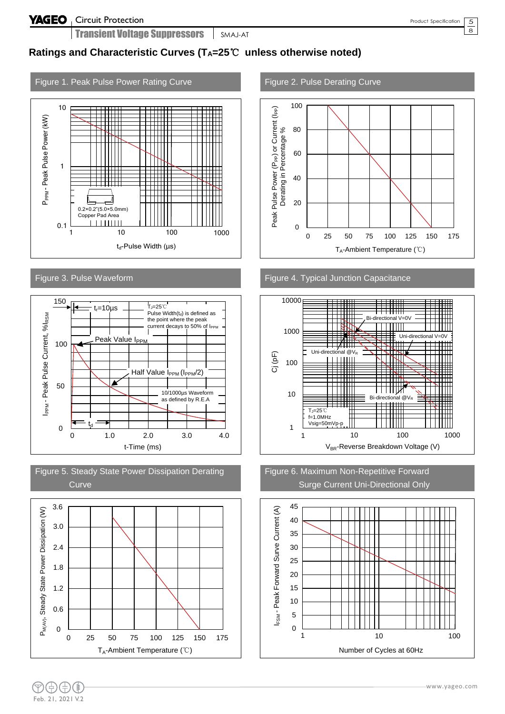5  $\overline{8}$ 

## **Ratings and Characteristic Curves (TA=25**℃ **unless otherwise noted)**

# Figure 1. Peak Pulse Power Rating Curve Figure 2. Pulse Derating Curve











Figure 3. Pulse Waveform **Figure 4. Typical Junction Capacitance** 





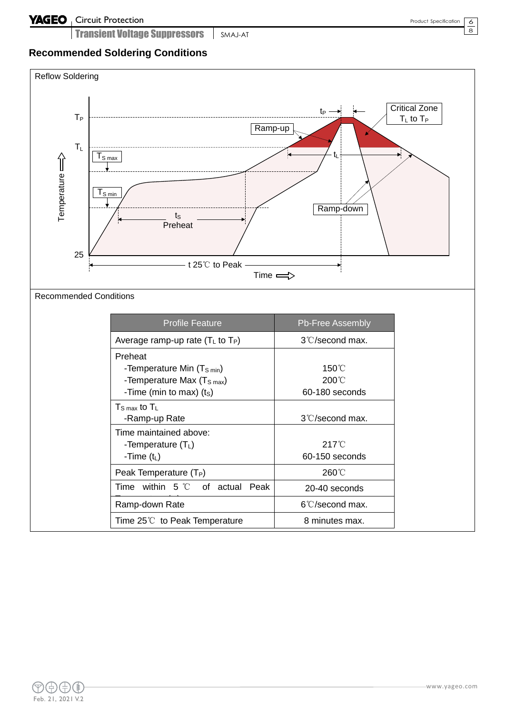Transient Voltage Suppressors SMAJ-AT

### 6  $\overline{8}$

# **Recommended Soldering Conditions**

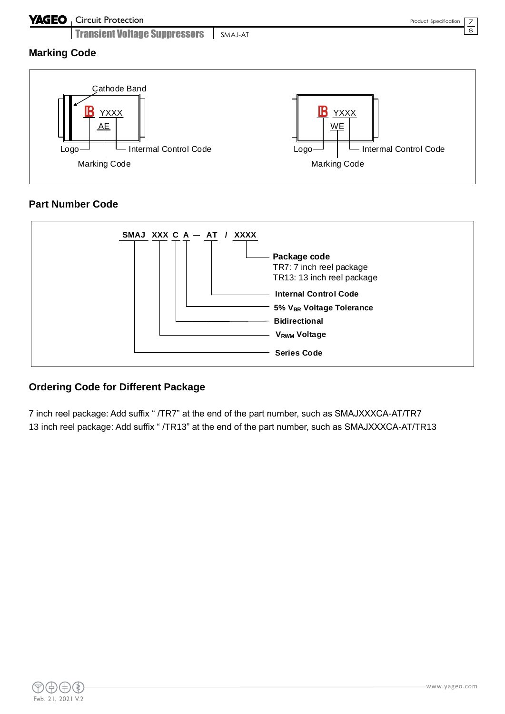## **YAGEO** Circuit Protection

Transient Voltage Suppressors SMAJ-AT

7 8

**Marking Code**



## **Part Number Code**



## **Ordering Code for Different Package**

7 inch reel package: Add suffix " /TR7" at the end of the part number, such as SMAJXXXCA-AT/TR7 13 inch reel package: Add suffix " /TR13" at the end of the part number, such as SMAJXXXCA-AT/TR13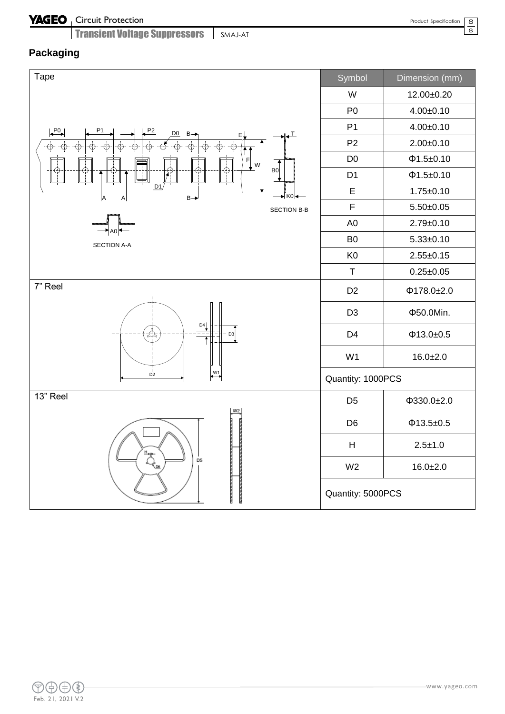### Circuit Protection

Transient Voltage Suppressors SMAJ-AT

# **Packaging**

| Tape                                                                                                                                                                                                                                                                                                                                                          | Symbol            | Dimension (mm)   |  |  |
|---------------------------------------------------------------------------------------------------------------------------------------------------------------------------------------------------------------------------------------------------------------------------------------------------------------------------------------------------------------|-------------------|------------------|--|--|
|                                                                                                                                                                                                                                                                                                                                                               | W                 | 12.00±0.20       |  |  |
|                                                                                                                                                                                                                                                                                                                                                               | P <sub>0</sub>    | $4.00 \pm 0.10$  |  |  |
| P <sub>0</sub><br>P1<br>P2<br>D <sub>0</sub><br>$B \rightarrow$<br>⊥⊾                                                                                                                                                                                                                                                                                         | P <sub>1</sub>    | $4.00 \pm 0.10$  |  |  |
| ΕĮ<br>$\overline{\oplus}$<br>$\dot{\oplus}$<br>$\dot{\oplus}$<br>ф.<br>$\phi$ .<br>↟                                                                                                                                                                                                                                                                          | P <sub>2</sub>    | $2.00 \pm 0.10$  |  |  |
| $\mathsf F$<br>$\frac{1}{2}$ w                                                                                                                                                                                                                                                                                                                                | D <sub>0</sub>    | Φ1.5±0.10        |  |  |
| B0<br>⊕<br>↔<br>ميكن<br>مرا                                                                                                                                                                                                                                                                                                                                   | D <sub>1</sub>    | Φ1.5±0.10        |  |  |
| D1<br>→ K0 I<br>$B \rightarrow$<br>A<br>$\boldsymbol{\mathsf{A}}$                                                                                                                                                                                                                                                                                             | E                 | $1.75 \pm 0.10$  |  |  |
| <b>SECTION B-B</b>                                                                                                                                                                                                                                                                                                                                            | $\mathsf F$       | $5.50 \pm 0.05$  |  |  |
|                                                                                                                                                                                                                                                                                                                                                               | A <sub>0</sub>    | $2.79 \pm 0.10$  |  |  |
| SECTION A-A                                                                                                                                                                                                                                                                                                                                                   | B <sub>0</sub>    | $5.33 \pm 0.10$  |  |  |
|                                                                                                                                                                                                                                                                                                                                                               | K <sub>0</sub>    | $2.55 \pm 0.15$  |  |  |
|                                                                                                                                                                                                                                                                                                                                                               | $\top$            | $0.25 \pm 0.05$  |  |  |
| 7" Reel                                                                                                                                                                                                                                                                                                                                                       | D <sub>2</sub>    | $\Phi$ 178.0±2.0 |  |  |
|                                                                                                                                                                                                                                                                                                                                                               | D <sub>3</sub>    | Φ50.0Min.        |  |  |
| D4<br>D <sub>3</sub><br>₩                                                                                                                                                                                                                                                                                                                                     | D <sub>4</sub>    | $\Phi$ 13.0±0.5  |  |  |
|                                                                                                                                                                                                                                                                                                                                                               | W <sub>1</sub>    | $16.0 + 2.0$     |  |  |
| $\overline{\mathbf{H}}$<br>$D^{\dagger}$                                                                                                                                                                                                                                                                                                                      | Quantity: 1000PCS |                  |  |  |
| 13" Reel<br>W2                                                                                                                                                                                                                                                                                                                                                | D <sub>5</sub>    | $\Phi$ 330.0±2.0 |  |  |
|                                                                                                                                                                                                                                                                                                                                                               | D <sub>6</sub>    | $\Phi$ 13.5±0.5  |  |  |
|                                                                                                                                                                                                                                                                                                                                                               | H                 | $2.5 \pm 1.0$    |  |  |
| $\begin{picture}(120,110) \put(0,0){\line(1,0){155}} \put(15,0){\line(1,0){155}} \put(15,0){\line(1,0){155}} \put(15,0){\line(1,0){155}} \put(15,0){\line(1,0){155}} \put(15,0){\line(1,0){155}} \put(15,0){\line(1,0){155}} \put(15,0){\line(1,0){155}} \put(15,0){\line(1,0){155}} \put(15,0){\line(1,0){155}} \put(15,0){\line(1,0){155$<br>D <sub>5</sub> | W <sub>2</sub>    | $16.0 + 2.0$     |  |  |
|                                                                                                                                                                                                                                                                                                                                                               | Quantity: 5000PCS |                  |  |  |

8  $\overline{8}$